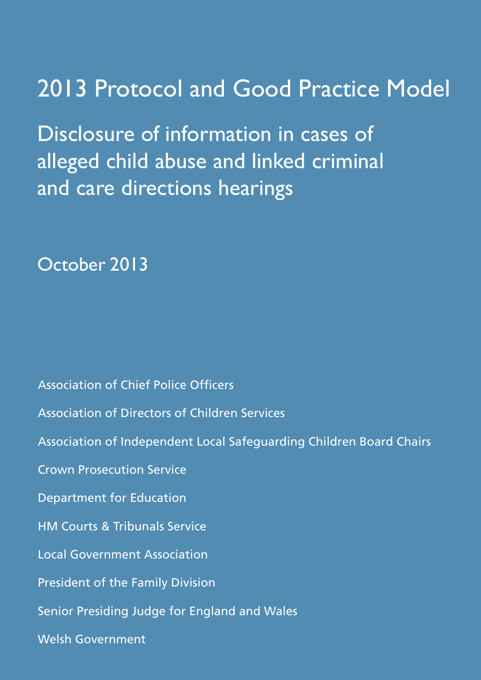# 2013 Protocol and Good Practice Model

Disclosure of information in cases of alleged child abuse and linked criminal and care directions hearings

October 2013

Association of Chief Police Officers

Association of Directors of Children Services

Association of Independent Local Safeguarding Children Board Chairs

Crown Prosecution Service

Department for Education

HM Courts & Tribunals Service

Local Government Association

President of the Family Division

Senior Presiding Judge for England and Wales

Welsh Government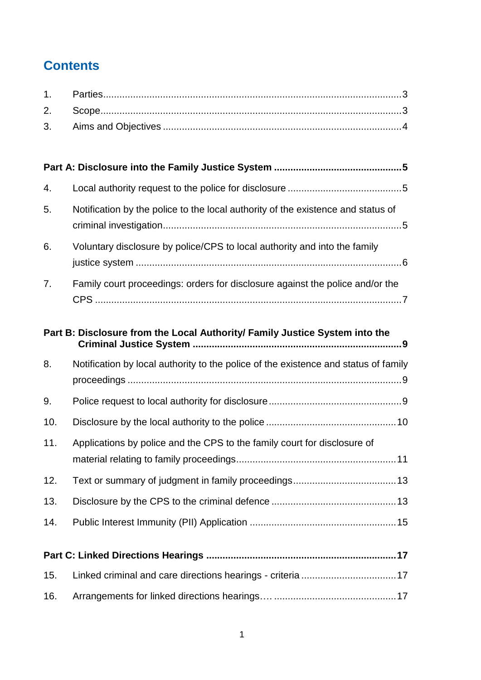# **Contents**

| 4.  |                                                                                     |
|-----|-------------------------------------------------------------------------------------|
| 5.  | Notification by the police to the local authority of the existence and status of    |
| 6.  | Voluntary disclosure by police/CPS to local authority and into the family           |
| 7.  | Family court proceedings: orders for disclosure against the police and/or the       |
|     | Part B: Disclosure from the Local Authority/ Family Justice System into the         |
| 8.  | Notification by local authority to the police of the existence and status of family |
| 9.  |                                                                                     |
| 10. |                                                                                     |
| 11. | Applications by police and the CPS to the family court for disclosure of            |
| 12. |                                                                                     |
| 13. |                                                                                     |
| 14. |                                                                                     |
|     |                                                                                     |
| 15. |                                                                                     |
| 16. |                                                                                     |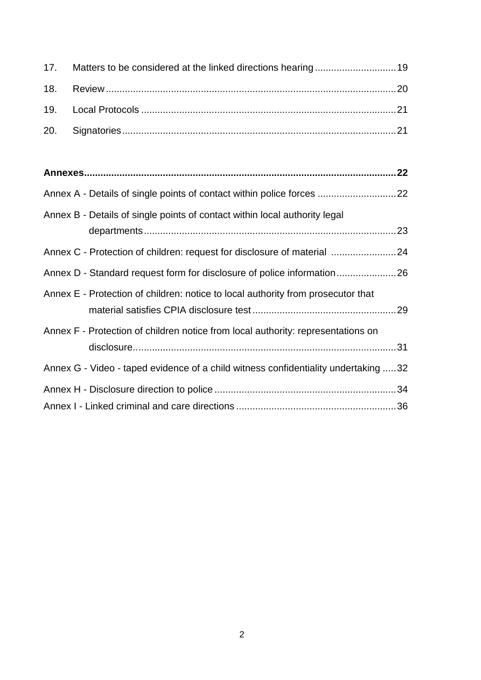|                                                                                    | 22 |
|------------------------------------------------------------------------------------|----|
| Annex A - Details of single points of contact within police forces 22              |    |
| Annex B - Details of single points of contact within local authority legal         |    |
| Annex C - Protection of children: request for disclosure of material 24            |    |
| Annex D - Standard request form for disclosure of police information26             |    |
| Annex E - Protection of children: notice to local authority from prosecutor that   |    |
| Annex F - Protection of children notice from local authority: representations on   |    |
| Annex G - Video - taped evidence of a child witness confidentiality undertaking 32 |    |
|                                                                                    |    |
|                                                                                    |    |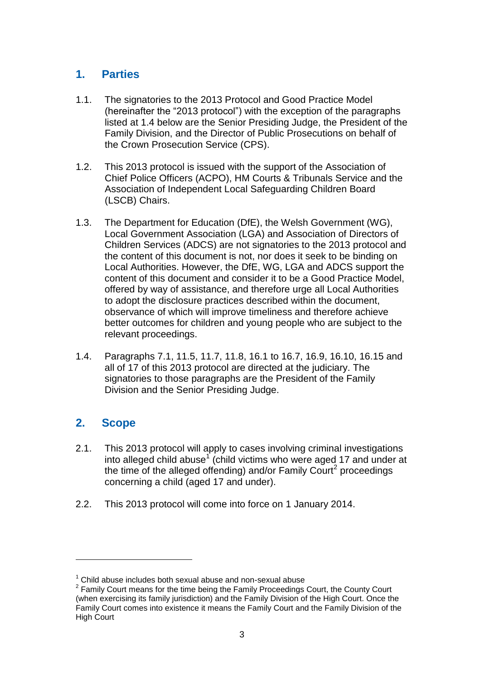# <span id="page-3-0"></span>**1. Parties**

- 1.1. The signatories to the 2013 Protocol and Good Practice Model (hereinafter the "2013 protocol") with the exception of the paragraphs listed at 1.4 below are the Senior Presiding Judge, the President of the Family Division, and the Director of Public Prosecutions on behalf of the Crown Prosecution Service (CPS).
- 1.2. This 2013 protocol is issued with the support of the Association of Chief Police Officers (ACPO), HM Courts & Tribunals Service and the Association of Independent Local Safeguarding Children Board (LSCB) Chairs.
- 1.3. The Department for Education (DfE), the Welsh Government (WG), Local Government Association (LGA) and Association of Directors of Children Services (ADCS) are not signatories to the 2013 protocol and the content of this document is not, nor does it seek to be binding on Local Authorities. However, the DfE, WG, LGA and ADCS support the content of this document and consider it to be a Good Practice Model, offered by way of assistance, and therefore urge all Local Authorities to adopt the disclosure practices described within the document, observance of which will improve timeliness and therefore achieve better outcomes for children and young people who are subject to the relevant proceedings.
- 1.4. Paragraphs 7.1, 11.5, 11.7, 11.8, 16.1 to 16.7, 16.9, 16.10, 16.15 and all of 17 of this 2013 protocol are directed at the judiciary. The signatories to those paragraphs are the President of the Family Division and the Senior Presiding Judge.

# <span id="page-3-1"></span>**2. Scope**

- 2.1. This 2013 protocol will apply to cases involving criminal investigations into alleged child abuse<sup>1</sup> (child victims who were aged 17 and under at the time of the alleged offending) and/or Family Court<sup>2</sup> proceedings concerning a child (aged 17 and under).
- 2.2. This 2013 protocol will come into force on 1 January 2014.

 $1$  Child abuse includes both sexual abuse and non-sexual abuse

 $2$  Family Court means for the time being the Family Proceedings Court, the County Court (when exercising its family jurisdiction) and the Family Division of the High Court. Once the Family Court comes into existence it means the Family Court and the Family Division of the High Court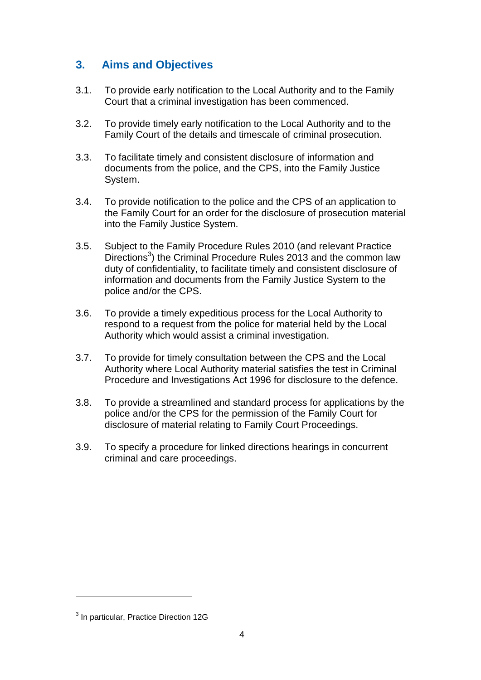# <span id="page-4-0"></span>**3. Aims and Objectives**

- 3.1. To provide early notification to the Local Authority and to the Family Court that a criminal investigation has been commenced.
- 3.2. To provide timely early notification to the Local Authority and to the Family Court of the details and timescale of criminal prosecution.
- 3.3. To facilitate timely and consistent disclosure of information and documents from the police, and the CPS, into the Family Justice System.
- 3.4. To provide notification to the police and the CPS of an application to the Family Court for an order for the disclosure of prosecution material into the Family Justice System.
- 3.5. Subject to the Family Procedure Rules 2010 (and relevant Practice Directions<sup>3</sup>) the Criminal Procedure Rules 2013 and the common law duty of confidentiality, to facilitate timely and consistent disclosure of information and documents from the Family Justice System to the police and/or the CPS.
- 3.6. To provide a timely expeditious process for the Local Authority to respond to a request from the police for material held by the Local Authority which would assist a criminal investigation.
- 3.7. To provide for timely consultation between the CPS and the Local Authority where Local Authority material satisfies the test in Criminal Procedure and Investigations Act 1996 for disclosure to the defence.
- 3.8. To provide a streamlined and standard process for applications by the police and/or the CPS for the permission of the Family Court for disclosure of material relating to Family Court Proceedings.
- 3.9. To specify a procedure for linked directions hearings in concurrent criminal and care proceedings.

<sup>&</sup>lt;sup>3</sup> In particular, Practice Direction 12G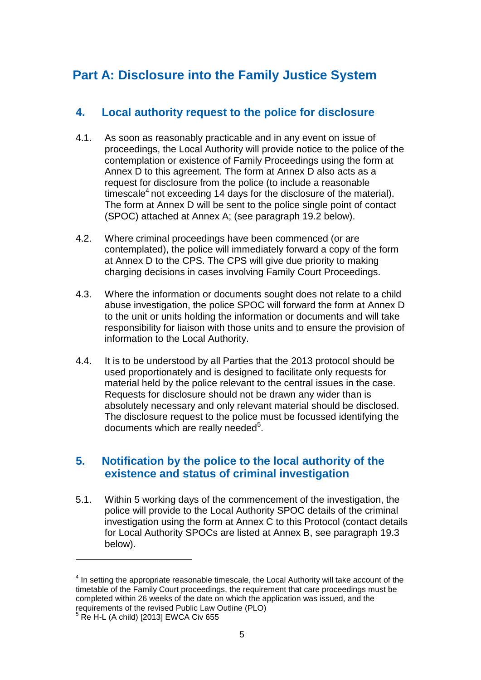# <span id="page-5-0"></span>**Part A: Disclosure into the Family Justice System**

# <span id="page-5-1"></span>**4. Local authority request to the police for disclosure**

- 4.1. As soon as reasonably practicable and in any event on issue of proceedings, the Local Authority will provide notice to the police of the contemplation or existence of Family Proceedings using the form at Annex D to this agreement. The form at Annex D also acts as a request for disclosure from the police (to include a reasonable timescale<sup>4</sup> not exceeding 14 days for the disclosure of the material). The form at Annex D will be sent to the police single point of contact (SPOC) attached at Annex A; (see paragraph 19.2 below).
- 4.2. Where criminal proceedings have been commenced (or are contemplated), the police will immediately forward a copy of the form at Annex D to the CPS. The CPS will give due priority to making charging decisions in cases involving Family Court Proceedings.
- 4.3. Where the information or documents sought does not relate to a child abuse investigation, the police SPOC will forward the form at Annex D to the unit or units holding the information or documents and will take responsibility for liaison with those units and to ensure the provision of information to the Local Authority.
- 4.4. It is to be understood by all Parties that the 2013 protocol should be used proportionately and is designed to facilitate only requests for material held by the police relevant to the central issues in the case. Requests for disclosure should not be drawn any wider than is absolutely necessary and only relevant material should be disclosed. The disclosure request to the police must be focussed identifying the documents which are really needed<sup>5</sup>.

# <span id="page-5-2"></span>**5. Notification by the police to the local authority of the existence and status of criminal investigation**

5.1. Within 5 working days of the commencement of the investigation, the police will provide to the Local Authority SPOC details of the criminal investigation using the form at Annex C to this Protocol (contact details for Local Authority SPOCs are listed at Annex B, see paragraph 19.3 below).

 $<sup>4</sup>$  In setting the appropriate reasonable timescale, the Local Authority will take account of the</sup> timetable of the Family Court proceedings, the requirement that care proceedings must be completed within 26 weeks of the date on which the application was issued, and the requirements of the revised Public Law Outline (PLO)

 $^5$  Re H-L (A child) [2013] EWCA Civ 655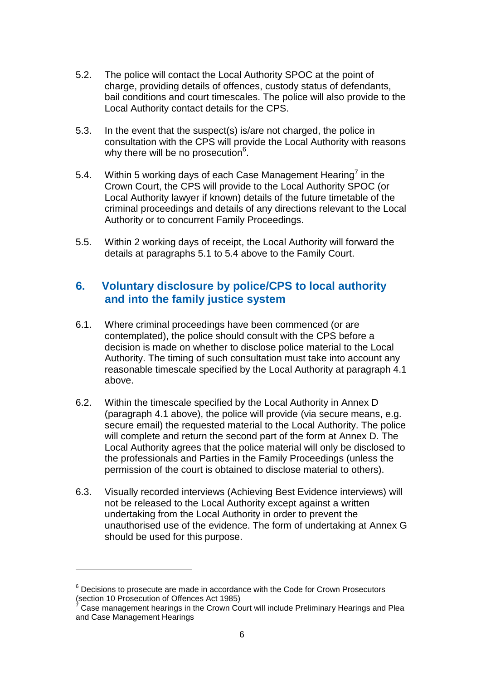- 5.2. The police will contact the Local Authority SPOC at the point of charge, providing details of offences, custody status of defendants, bail conditions and court timescales. The police will also provide to the Local Authority contact details for the CPS.
- 5.3. In the event that the suspect(s) is/are not charged, the police in consultation with the CPS will provide the Local Authority with reasons why there will be no prosecution $6$ .
- 5.4. Within 5 working days of each Case Management Hearing<sup>7</sup> in the Crown Court, the CPS will provide to the Local Authority SPOC (or Local Authority lawyer if known) details of the future timetable of the criminal proceedings and details of any directions relevant to the Local Authority or to concurrent Family Proceedings.
- 5.5. Within 2 working days of receipt, the Local Authority will forward the details at paragraphs 5.1 to 5.4 above to the Family Court.

# <span id="page-6-0"></span>**6. Voluntary disclosure by police/CPS to local authority and into the family justice system**

- 6.1. Where criminal proceedings have been commenced (or are contemplated), the police should consult with the CPS before a decision is made on whether to disclose police material to the Local Authority. The timing of such consultation must take into account any reasonable timescale specified by the Local Authority at paragraph 4.1 above.
- 6.2. Within the timescale specified by the Local Authority in Annex D (paragraph 4.1 above), the police will provide (via secure means, e.g. secure email) the requested material to the Local Authority. The police will complete and return the second part of the form at Annex D. The Local Authority agrees that the police material will only be disclosed to the professionals and Parties in the Family Proceedings (unless the permission of the court is obtained to disclose material to others).
- 6.3. Visually recorded interviews (Achieving Best Evidence interviews) will not be released to the Local Authority except against a written undertaking from the Local Authority in order to prevent the unauthorised use of the evidence. The form of undertaking at Annex G should be used for this purpose.

 $6$  Decisions to prosecute are made in accordance with the Code for Crown Prosecutors (section 10 Prosecution of Offences Act 1985)

<sup>7</sup> Case management hearings in the Crown Court will include Preliminary Hearings and Plea and Case Management Hearings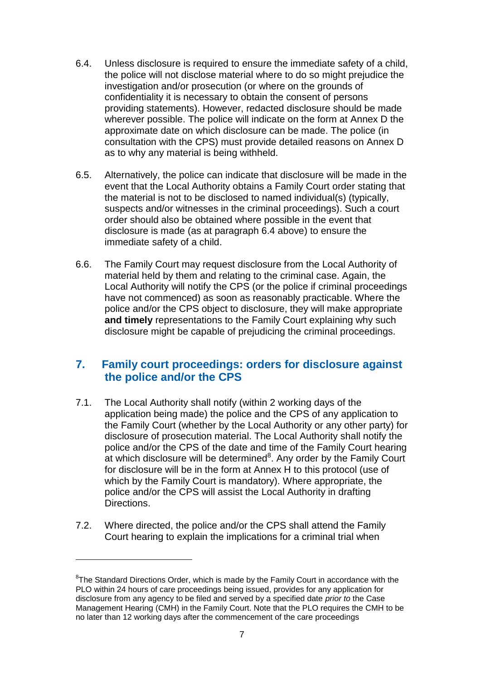- 6.4. Unless disclosure is required to ensure the immediate safety of a child, the police will not disclose material where to do so might prejudice the investigation and/or prosecution (or where on the grounds of confidentiality it is necessary to obtain the consent of persons providing statements). However, redacted disclosure should be made wherever possible. The police will indicate on the form at Annex D the approximate date on which disclosure can be made. The police (in consultation with the CPS) must provide detailed reasons on Annex D as to why any material is being withheld.
- 6.5. Alternatively, the police can indicate that disclosure will be made in the event that the Local Authority obtains a Family Court order stating that the material is not to be disclosed to named individual(s) (typically, suspects and/or witnesses in the criminal proceedings). Such a court order should also be obtained where possible in the event that disclosure is made (as at paragraph 6.4 above) to ensure the immediate safety of a child.
- 6.6. The Family Court may request disclosure from the Local Authority of material held by them and relating to the criminal case. Again, the Local Authority will notify the CPS (or the police if criminal proceedings have not commenced) as soon as reasonably practicable. Where the police and/or the CPS object to disclosure, they will make appropriate **and timely** representations to the Family Court explaining why such disclosure might be capable of prejudicing the criminal proceedings.

## <span id="page-7-0"></span>**7. Family court proceedings: orders for disclosure against the police and/or the CPS**

- 7.1. The Local Authority shall notify (within 2 working days of the application being made) the police and the CPS of any application to the Family Court (whether by the Local Authority or any other party) for disclosure of prosecution material. The Local Authority shall notify the police and/or the CPS of the date and time of the Family Court hearing at which disclosure will be determined<sup>8</sup>. Any order by the Family Court for disclosure will be in the form at Annex H to this protocol (use of which by the Family Court is mandatory). Where appropriate, the police and/or the CPS will assist the Local Authority in drafting Directions.
- 7.2. Where directed, the police and/or the CPS shall attend the Family Court hearing to explain the implications for a criminal trial when

 ${}^{8}$ The Standard Directions Order, which is made by the Family Court in accordance with the PLO within 24 hours of care proceedings being issued, provides for any application for disclosure from any agency to be filed and served by a specified date *prior to* the Case Management Hearing (CMH) in the Family Court. Note that the PLO requires the CMH to be no later than 12 working days after the commencement of the care proceedings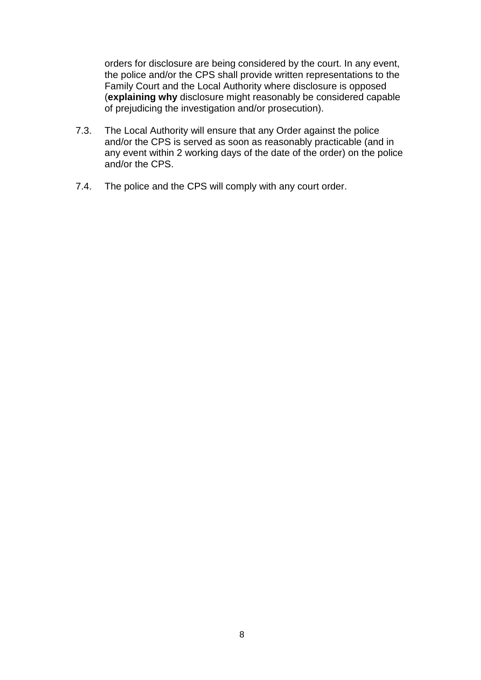orders for disclosure are being considered by the court. In any event, the police and/or the CPS shall provide written representations to the Family Court and the Local Authority where disclosure is opposed (**explaining why** disclosure might reasonably be considered capable of prejudicing the investigation and/or prosecution).

- 7.3. The Local Authority will ensure that any Order against the police and/or the CPS is served as soon as reasonably practicable (and in any event within 2 working days of the date of the order) on the police and/or the CPS.
- 7.4. The police and the CPS will comply with any court order.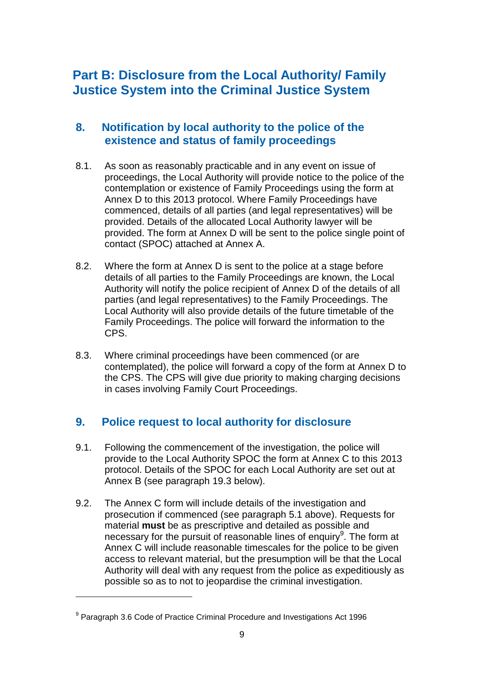# <span id="page-9-0"></span>**Part B: Disclosure from the Local Authority/ Family Justice System into the Criminal Justice System**

# <span id="page-9-1"></span>**8. Notification by local authority to the police of the existence and status of family proceedings**

- 8.1. As soon as reasonably practicable and in any event on issue of proceedings, the Local Authority will provide notice to the police of the contemplation or existence of Family Proceedings using the form at Annex D to this 2013 protocol. Where Family Proceedings have commenced, details of all parties (and legal representatives) will be provided. Details of the allocated Local Authority lawyer will be provided. The form at Annex D will be sent to the police single point of contact (SPOC) attached at Annex A.
- 8.2. Where the form at Annex D is sent to the police at a stage before details of all parties to the Family Proceedings are known, the Local Authority will notify the police recipient of Annex D of the details of all parties (and legal representatives) to the Family Proceedings. The Local Authority will also provide details of the future timetable of the Family Proceedings. The police will forward the information to the CPS.
- 8.3. Where criminal proceedings have been commenced (or are contemplated), the police will forward a copy of the form at Annex D to the CPS. The CPS will give due priority to making charging decisions in cases involving Family Court Proceedings.

# <span id="page-9-2"></span>**9. Police request to local authority for disclosure**

- 9.1. Following the commencement of the investigation, the police will provide to the Local Authority SPOC the form at Annex C to this 2013 protocol. Details of the SPOC for each Local Authority are set out at Annex B (see paragraph 19.3 below).
- 9.2. The Annex C form will include details of the investigation and prosecution if commenced (see paragraph 5.1 above). Requests for material **must** be as prescriptive and detailed as possible and necessary for the pursuit of reasonable lines of enquiry<sup>9</sup>. The form at Annex C will include reasonable timescales for the police to be given access to relevant material, but the presumption will be that the Local Authority will deal with any request from the police as expeditiously as possible so as to not to jeopardise the criminal investigation.

<sup>&</sup>lt;sup>9</sup> Paragraph 3.6 Code of Practice Criminal Procedure and Investigations Act 1996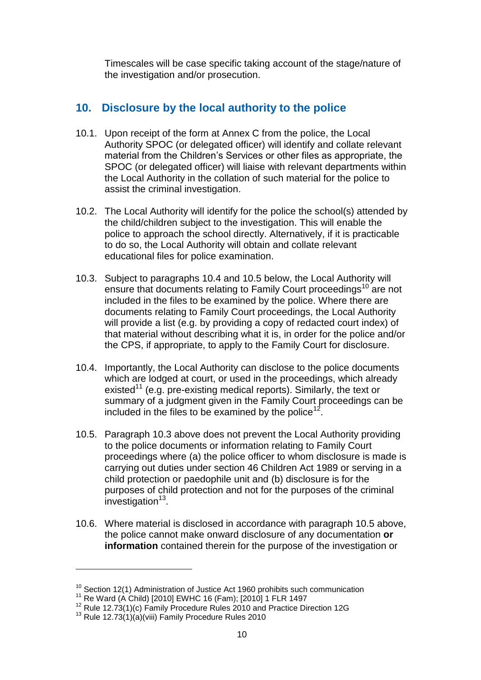Timescales will be case specific taking account of the stage/nature of the investigation and/or prosecution.

# <span id="page-10-0"></span>**10. Disclosure by the local authority to the police**

- 10.1. Upon receipt of the form at Annex C from the police, the Local Authority SPOC (or delegated officer) will identify and collate relevant material from the Children's Services or other files as appropriate, the SPOC (or delegated officer) will liaise with relevant departments within the Local Authority in the collation of such material for the police to assist the criminal investigation.
- 10.2. The Local Authority will identify for the police the school(s) attended by the child/children subject to the investigation. This will enable the police to approach the school directly. Alternatively, if it is practicable to do so, the Local Authority will obtain and collate relevant educational files for police examination.
- 10.3. Subject to paragraphs 10.4 and 10.5 below, the Local Authority will ensure that documents relating to Family Court proceedings<sup>10</sup> are not included in the files to be examined by the police. Where there are documents relating to Family Court proceedings, the Local Authority will provide a list (e.g. by providing a copy of redacted court index) of that material without describing what it is, in order for the police and/or the CPS, if appropriate, to apply to the Family Court for disclosure.
- 10.4. Importantly, the Local Authority can disclose to the police documents which are lodged at court, or used in the proceedings, which already existed<sup>11</sup> (e.g. pre-existing medical reports). Similarly, the text or summary of a judgment given in the Family Court proceedings can be included in the files to be examined by the police<sup>12</sup>.
- 10.5. Paragraph 10.3 above does not prevent the Local Authority providing to the police documents or information relating to Family Court proceedings where (a) the police officer to whom disclosure is made is carrying out duties under section 46 Children Act 1989 or serving in a child protection or paedophile unit and (b) disclosure is for the purposes of child protection and not for the purposes of the criminal investigation<sup>13</sup>.
- 10.6. Where material is disclosed in accordance with paragraph 10.5 above, the police cannot make onward disclosure of any documentation **or information** contained therein for the purpose of the investigation or

 $10$  Section 12(1) Administration of Justice Act 1960 prohibits such communication

 $^{11}_{2}$  Re Ward (A Child) [2010] EWHC 16 (Fam); [2010] 1 FLR 1497

<sup>12</sup> Rule 12.73(1)(c) Family Procedure Rules 2010 and Practice Direction 12G

 $13$  Rule 12.73(1)(a)(viii) Family Procedure Rules 2010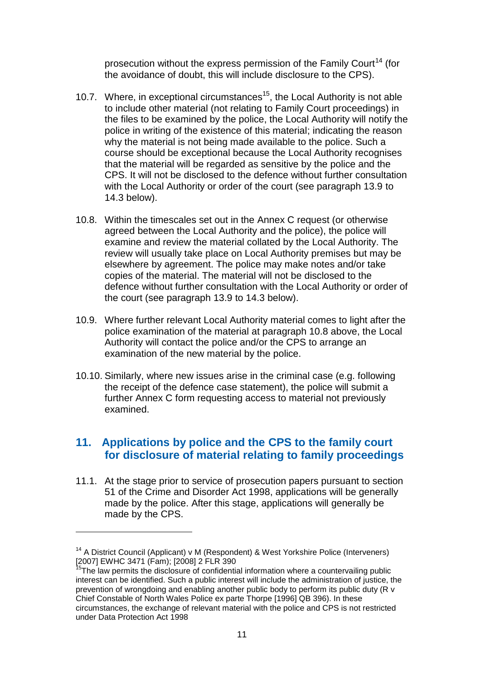prosecution without the express permission of the Family Court<sup>14</sup> (for the avoidance of doubt, this will include disclosure to the CPS).

- 10.7. Where, in exceptional circumstances<sup>15</sup>, the Local Authority is not able to include other material (not relating to Family Court proceedings) in the files to be examined by the police, the Local Authority will notify the police in writing of the existence of this material; indicating the reason why the material is not being made available to the police. Such a course should be exceptional because the Local Authority recognises that the material will be regarded as sensitive by the police and the CPS. It will not be disclosed to the defence without further consultation with the Local Authority or order of the court (see paragraph 13.9 to 14.3 below).
- 10.8. Within the timescales set out in the Annex C request (or otherwise agreed between the Local Authority and the police), the police will examine and review the material collated by the Local Authority. The review will usually take place on Local Authority premises but may be elsewhere by agreement. The police may make notes and/or take copies of the material. The material will not be disclosed to the defence without further consultation with the Local Authority or order of the court (see paragraph 13.9 to 14.3 below).
- 10.9. Where further relevant Local Authority material comes to light after the police examination of the material at paragraph 10.8 above, the Local Authority will contact the police and/or the CPS to arrange an examination of the new material by the police.
- 10.10. Similarly, where new issues arise in the criminal case (e.g. following the receipt of the defence case statement), the police will submit a further Annex C form requesting access to material not previously examined.

# <span id="page-11-0"></span>**11. Applications by police and the CPS to the family court for disclosure of material relating to family proceedings**

11.1. At the stage prior to service of prosecution papers pursuant to section 51 of the Crime and Disorder Act 1998, applications will be generally made by the police. After this stage, applications will generally be made by the CPS.

<sup>&</sup>lt;sup>14</sup> A District Council (Applicant) v M (Respondent) & West Yorkshire Police (Interveners) [2007] EWHC 3471 (Fam); [2008] 2 FLR 390

<sup>&</sup>lt;sup>15</sup>The law permits the disclosure of confidential information where a countervailing public interest can be identified. Such a public interest will include the administration of justice, the prevention of wrongdoing and enabling another public body to perform its public duty (R v Chief Constable of North Wales Police ex parte Thorpe [1996] QB 396). In these circumstances, the exchange of relevant material with the police and CPS is not restricted under Data Protection Act 1998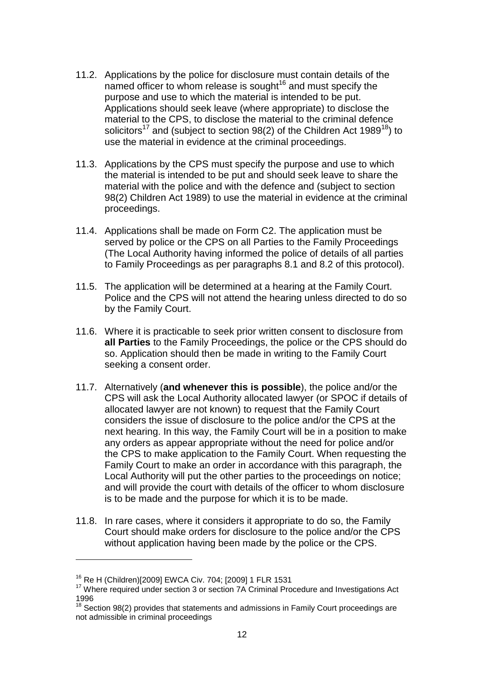- 11.2. Applications by the police for disclosure must contain details of the named officer to whom release is sought $16$  and must specify the purpose and use to which the material is intended to be put. Applications should seek leave (where appropriate) to disclose the material to the CPS, to disclose the material to the criminal defence solicitors<sup>17</sup> and (subject to section 98(2) of the Children Act 1989<sup>18</sup>) to use the material in evidence at the criminal proceedings.
- 11.3. Applications by the CPS must specify the purpose and use to which the material is intended to be put and should seek leave to share the material with the police and with the defence and (subject to section 98(2) Children Act 1989) to use the material in evidence at the criminal proceedings.
- 11.4. Applications shall be made on Form C2. The application must be served by police or the CPS on all Parties to the Family Proceedings (The Local Authority having informed the police of details of all parties to Family Proceedings as per paragraphs 8.1 and 8.2 of this protocol).
- 11.5. The application will be determined at a hearing at the Family Court. Police and the CPS will not attend the hearing unless directed to do so by the Family Court.
- 11.6. Where it is practicable to seek prior written consent to disclosure from **all Parties** to the Family Proceedings, the police or the CPS should do so. Application should then be made in writing to the Family Court seeking a consent order.
- 11.7. Alternatively (**and whenever this is possible**), the police and/or the CPS will ask the Local Authority allocated lawyer (or SPOC if details of allocated lawyer are not known) to request that the Family Court considers the issue of disclosure to the police and/or the CPS at the next hearing. In this way, the Family Court will be in a position to make any orders as appear appropriate without the need for police and/or the CPS to make application to the Family Court. When requesting the Family Court to make an order in accordance with this paragraph, the Local Authority will put the other parties to the proceedings on notice; and will provide the court with details of the officer to whom disclosure is to be made and the purpose for which it is to be made.
- 11.8. In rare cases, where it considers it appropriate to do so, the Family Court should make orders for disclosure to the police and/or the CPS without application having been made by the police or the CPS.

<sup>16</sup> Re H (Children)[2009] EWCA Civ. 704; [2009] 1 FLR 1531

<sup>17</sup> Where required under section 3 or section 7A Criminal Procedure and Investigations Act 1996

 $18$  Section 98(2) provides that statements and admissions in Family Court proceedings are not admissible in criminal proceedings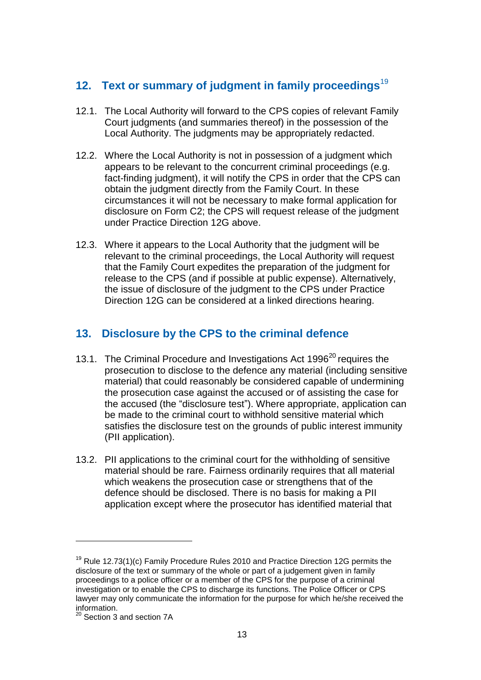# <span id="page-13-0"></span>**12. Text or summary of judgment in family proceedings**<sup>19</sup>

- 12.1. The Local Authority will forward to the CPS copies of relevant Family Court judgments (and summaries thereof) in the possession of the Local Authority. The judgments may be appropriately redacted.
- 12.2. Where the Local Authority is not in possession of a judgment which appears to be relevant to the concurrent criminal proceedings (e.g. fact-finding judgment), it will notify the CPS in order that the CPS can obtain the judgment directly from the Family Court. In these circumstances it will not be necessary to make formal application for disclosure on Form C2; the CPS will request release of the judgment under Practice Direction 12G above.
- 12.3. Where it appears to the Local Authority that the judgment will be relevant to the criminal proceedings, the Local Authority will request that the Family Court expedites the preparation of the judgment for release to the CPS (and if possible at public expense). Alternatively, the issue of disclosure of the judgment to the CPS under Practice Direction 12G can be considered at a linked directions hearing.

# <span id="page-13-1"></span>**13. Disclosure by the CPS to the criminal defence**

- 13.1. The Criminal Procedure and Investigations Act 1996<sup>20</sup> requires the prosecution to disclose to the defence any material (including sensitive material) that could reasonably be considered capable of undermining the prosecution case against the accused or of assisting the case for the accused (the "disclosure test"). Where appropriate, application can be made to the criminal court to withhold sensitive material which satisfies the disclosure test on the grounds of public interest immunity (PII application).
- 13.2. PII applications to the criminal court for the withholding of sensitive material should be rare. Fairness ordinarily requires that all material which weakens the prosecution case or strengthens that of the defence should be disclosed. There is no basis for making a PII application except where the prosecutor has identified material that

 $19$  Rule 12.73(1)(c) Family Procedure Rules 2010 and Practice Direction 12G permits the disclosure of the text or summary of the whole or part of a judgement given in family proceedings to a police officer or a member of the CPS for the purpose of a criminal investigation or to enable the CPS to discharge its functions. The Police Officer or CPS lawyer may only communicate the information for the purpose for which he/she received the information.

 $^0$  Section 3 and section 7A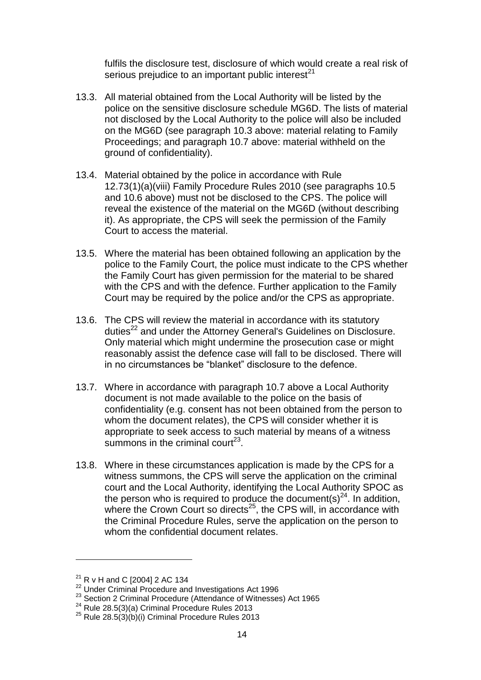fulfils the disclosure test, disclosure of which would create a real risk of serious prejudice to an important public interest $21$ 

- 13.3. All material obtained from the Local Authority will be listed by the police on the sensitive disclosure schedule MG6D. The lists of material not disclosed by the Local Authority to the police will also be included on the MG6D (see paragraph 10.3 above: material relating to Family Proceedings; and paragraph 10.7 above: material withheld on the ground of confidentiality).
- 13.4. Material obtained by the police in accordance with Rule 12.73(1)(a)(viii) Family Procedure Rules 2010 (see paragraphs 10.5 and 10.6 above) must not be disclosed to the CPS. The police will reveal the existence of the material on the MG6D (without describing it). As appropriate, the CPS will seek the permission of the Family Court to access the material.
- 13.5. Where the material has been obtained following an application by the police to the Family Court, the police must indicate to the CPS whether the Family Court has given permission for the material to be shared with the CPS and with the defence. Further application to the Family Court may be required by the police and/or the CPS as appropriate.
- 13.6. The CPS will review the material in accordance with its statutory duties<sup>22</sup> and under the Attorney General's Guidelines on Disclosure. Only material which might undermine the prosecution case or might reasonably assist the defence case will fall to be disclosed. There will in no circumstances be "blanket" disclosure to the defence.
- 13.7. Where in accordance with paragraph 10.7 above a Local Authority document is not made available to the police on the basis of confidentiality (e.g. consent has not been obtained from the person to whom the document relates), the CPS will consider whether it is appropriate to seek access to such material by means of a witness summons in the criminal court $^{23}$ .
- 13.8. Where in these circumstances application is made by the CPS for a witness summons, the CPS will serve the application on the criminal court and the Local Authority, identifying the Local Authority SPOC as the person who is required to produce the document(s) $^{24}$ . In addition, where the Crown Court so directs<sup>25</sup>, the CPS will, in accordance with the Criminal Procedure Rules, serve the application on the person to whom the confidential document relates.

 $^{21}$  R v H and C [2004] 2 AC 134

<sup>&</sup>lt;sup>22</sup> Under Criminal Procedure and Investigations Act 1996

<sup>23</sup> Section 2 Criminal Procedure (Attendance of Witnesses) Act 1965

 $24$  Rule 28.5(3)(a) Criminal Procedure Rules 2013

 $^{25}$  Rule 28.5(3)(b)(i) Criminal Procedure Rules 2013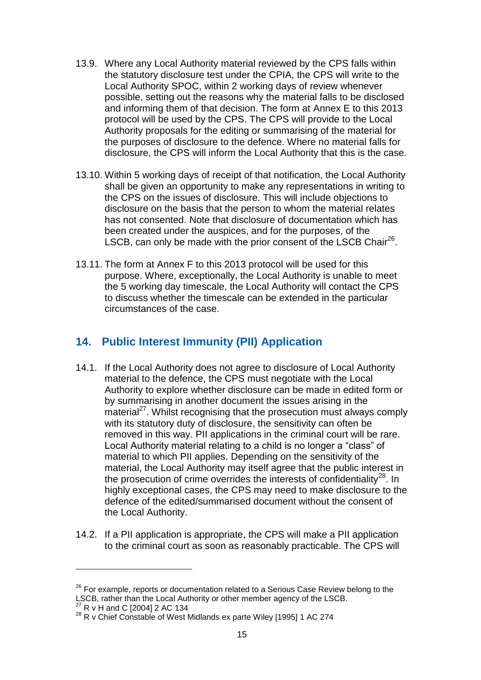- 13.9. Where any Local Authority material reviewed by the CPS falls within the statutory disclosure test under the CPIA, the CPS will write to the Local Authority SPOC, within 2 working days of review whenever possible, setting out the reasons why the material falls to be disclosed and informing them of that decision. The form at Annex E to this 2013 protocol will be used by the CPS. The CPS will provide to the Local Authority proposals for the editing or summarising of the material for the purposes of disclosure to the defence. Where no material falls for disclosure, the CPS will inform the Local Authority that this is the case.
- 13.10. Within 5 working days of receipt of that notification, the Local Authority shall be given an opportunity to make any representations in writing to the CPS on the issues of disclosure. This will include objections to disclosure on the basis that the person to whom the material relates has not consented. Note that disclosure of documentation which has been created under the auspices, and for the purposes, of the LSCB, can only be made with the prior consent of the LSCB Chair $^{26}$ .
- 13.11. The form at Annex F to this 2013 protocol will be used for this purpose. Where, exceptionally, the Local Authority is unable to meet the 5 working day timescale, the Local Authority will contact the CPS to discuss whether the timescale can be extended in the particular circumstances of the case.

# <span id="page-15-0"></span>**14. Public Interest Immunity (PII) Application**

- 14.1. If the Local Authority does not agree to disclosure of Local Authority material to the defence, the CPS must negotiate with the Local Authority to explore whether disclosure can be made in edited form or by summarising in another document the issues arising in the material<sup>27</sup>. Whilst recognising that the prosecution must always comply with its statutory duty of disclosure, the sensitivity can often be removed in this way. PII applications in the criminal court will be rare. Local Authority material relating to a child is no longer a "class" of material to which PII applies. Depending on the sensitivity of the material, the Local Authority may itself agree that the public interest in the prosecution of crime overrides the interests of confidentiality<sup>28</sup>. In highly exceptional cases, the CPS may need to make disclosure to the defence of the edited/summarised document without the consent of the Local Authority.
- 14.2. If a PII application is appropriate, the CPS will make a PII application to the criminal court as soon as reasonably practicable. The CPS will

 $26$  For example, reports or documentation related to a Serious Case Review belong to the LSCB, rather than the Local Authority or other member agency of the LSCB.

 $^{27}$  R v H and C [2004] 2 AC 134

 $^{28}$  R v Chief Constable of West Midlands ex parte Wiley [1995] 1 AC 274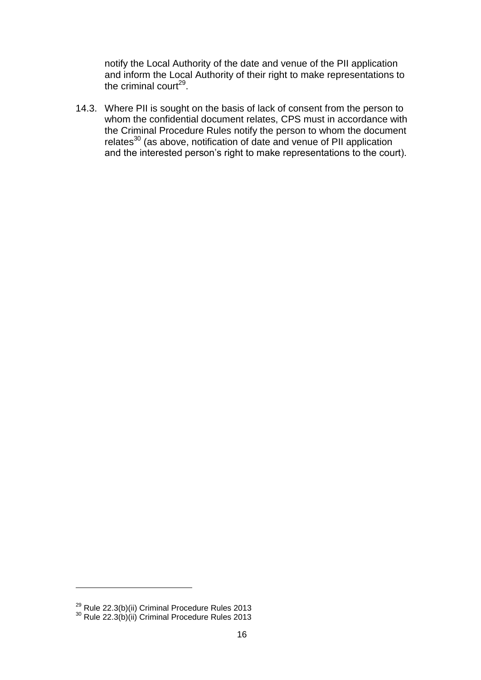notify the Local Authority of the date and venue of the PII application and inform the Local Authority of their right to make representations to the criminal court<sup>29</sup>.

14.3. Where PII is sought on the basis of lack of consent from the person to whom the confidential document relates, CPS must in accordance with the Criminal Procedure Rules notify the person to whom the document relates<sup>30</sup> (as above, notification of date and venue of PII application and the interested person's right to make representations to the court).

 $^{29}$  Rule 22.3(b)(ii) Criminal Procedure Rules 2013

 $30$  Rule 22.3(b)(ii) Criminal Procedure Rules 2013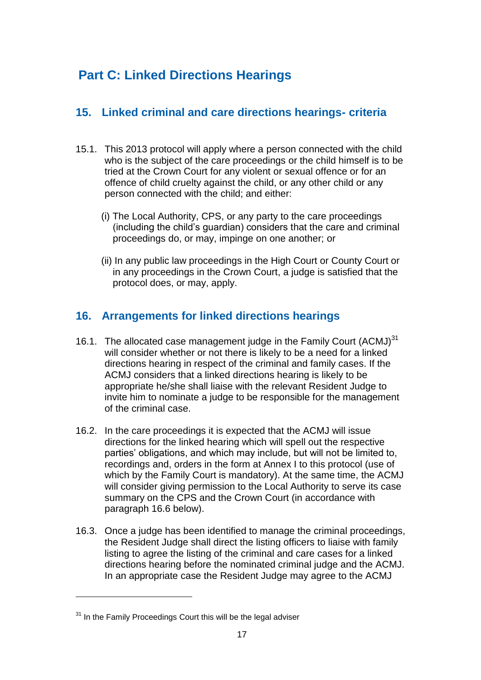# <span id="page-17-0"></span>**Part C: Linked Directions Hearings**

# <span id="page-17-1"></span>**15. Linked criminal and care directions hearings- criteria**

- 15.1. This 2013 protocol will apply where a person connected with the child who is the subject of the care proceedings or the child himself is to be tried at the Crown Court for any violent or sexual offence or for an offence of child cruelty against the child, or any other child or any person connected with the child; and either:
	- (i) The Local Authority, CPS, or any party to the care proceedings (including the child's guardian) considers that the care and criminal proceedings do, or may, impinge on one another; or
	- (ii) In any public law proceedings in the High Court or County Court or in any proceedings in the Crown Court, a judge is satisfied that the protocol does, or may, apply.

# <span id="page-17-2"></span>**16. Arrangements for linked directions hearings**

- 16.1. The allocated case management judge in the Family Court (ACMJ)<sup>31</sup> will consider whether or not there is likely to be a need for a linked directions hearing in respect of the criminal and family cases. If the ACMJ considers that a linked directions hearing is likely to be appropriate he/she shall liaise with the relevant Resident Judge to invite him to nominate a judge to be responsible for the management of the criminal case.
- 16.2. In the care proceedings it is expected that the ACMJ will issue directions for the linked hearing which will spell out the respective parties' obligations, and which may include, but will not be limited to, recordings and, orders in the form at Annex I to this protocol (use of which by the Family Court is mandatory). At the same time, the ACMJ will consider giving permission to the Local Authority to serve its case summary on the CPS and the Crown Court (in accordance with paragraph 16.6 below).
- 16.3. Once a judge has been identified to manage the criminal proceedings, the Resident Judge shall direct the listing officers to liaise with family listing to agree the listing of the criminal and care cases for a linked directions hearing before the nominated criminal judge and the ACMJ. In an appropriate case the Resident Judge may agree to the ACMJ

 $31$  In the Family Proceedings Court this will be the legal adviser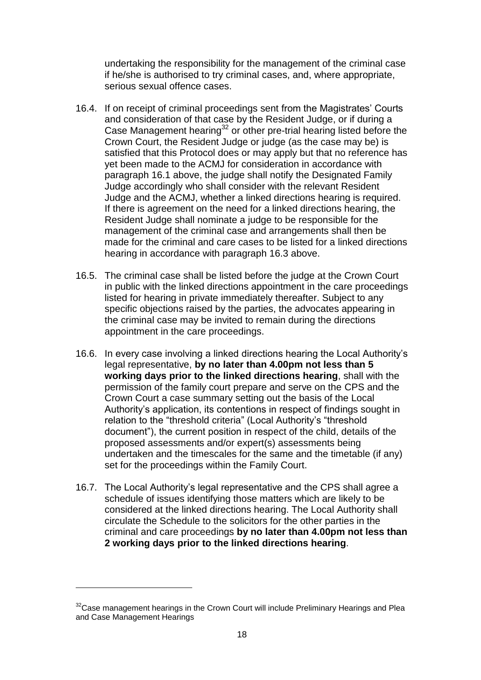undertaking the responsibility for the management of the criminal case if he/she is authorised to try criminal cases, and, where appropriate, serious sexual offence cases.

- 16.4. If on receipt of criminal proceedings sent from the Magistrates' Courts and consideration of that case by the Resident Judge, or if during a Case Management hearing $32$  or other pre-trial hearing listed before the Crown Court, the Resident Judge or judge (as the case may be) is satisfied that this Protocol does or may apply but that no reference has yet been made to the ACMJ for consideration in accordance with paragraph 16.1 above, the judge shall notify the Designated Family Judge accordingly who shall consider with the relevant Resident Judge and the ACMJ, whether a linked directions hearing is required. If there is agreement on the need for a linked directions hearing, the Resident Judge shall nominate a judge to be responsible for the management of the criminal case and arrangements shall then be made for the criminal and care cases to be listed for a linked directions hearing in accordance with paragraph 16.3 above.
- 16.5. The criminal case shall be listed before the judge at the Crown Court in public with the linked directions appointment in the care proceedings listed for hearing in private immediately thereafter. Subject to any specific objections raised by the parties, the advocates appearing in the criminal case may be invited to remain during the directions appointment in the care proceedings.
- 16.6. In every case involving a linked directions hearing the Local Authority's legal representative, **by no later than 4.00pm not less than 5 working days prior to the linked directions hearing**, shall with the permission of the family court prepare and serve on the CPS and the Crown Court a case summary setting out the basis of the Local Authority's application, its contentions in respect of findings sought in relation to the "threshold criteria" (Local Authority's "threshold document"), the current position in respect of the child, details of the proposed assessments and/or expert(s) assessments being undertaken and the timescales for the same and the timetable (if any) set for the proceedings within the Family Court.
- 16.7. The Local Authority's legal representative and the CPS shall agree a schedule of issues identifying those matters which are likely to be considered at the linked directions hearing. The Local Authority shall circulate the Schedule to the solicitors for the other parties in the criminal and care proceedings **by no later than 4.00pm not less than 2 working days prior to the linked directions hearing**.

<sup>&</sup>lt;sup>32</sup>Case management hearings in the Crown Court will include Preliminary Hearings and Plea and Case Management Hearings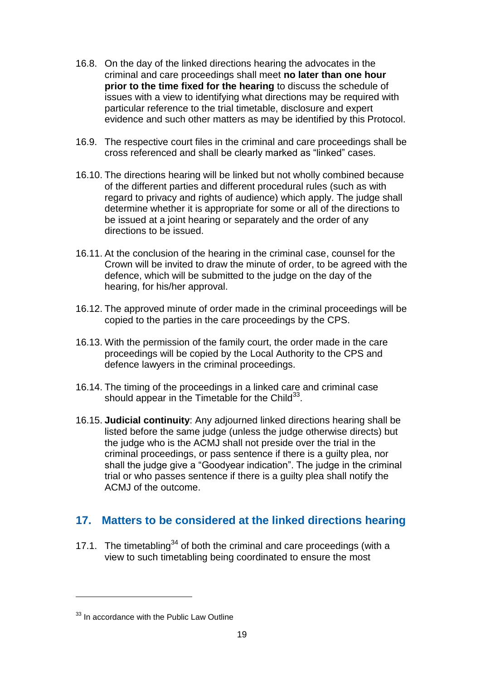- 16.8. On the day of the linked directions hearing the advocates in the criminal and care proceedings shall meet **no later than one hour prior to the time fixed for the hearing** to discuss the schedule of issues with a view to identifying what directions may be required with particular reference to the trial timetable, disclosure and expert evidence and such other matters as may be identified by this Protocol.
- 16.9. The respective court files in the criminal and care proceedings shall be cross referenced and shall be clearly marked as "linked" cases.
- 16.10. The directions hearing will be linked but not wholly combined because of the different parties and different procedural rules (such as with regard to privacy and rights of audience) which apply. The judge shall determine whether it is appropriate for some or all of the directions to be issued at a joint hearing or separately and the order of any directions to be issued.
- 16.11. At the conclusion of the hearing in the criminal case, counsel for the Crown will be invited to draw the minute of order, to be agreed with the defence, which will be submitted to the judge on the day of the hearing, for his/her approval.
- 16.12. The approved minute of order made in the criminal proceedings will be copied to the parties in the care proceedings by the CPS.
- 16.13. With the permission of the family court, the order made in the care proceedings will be copied by the Local Authority to the CPS and defence lawyers in the criminal proceedings.
- 16.14. The timing of the proceedings in a linked care and criminal case should appear in the Timetable for the Child $^{33}$ .
- 16.15. **Judicial continuity**: Any adjourned linked directions hearing shall be listed before the same judge (unless the judge otherwise directs) but the judge who is the ACMJ shall not preside over the trial in the criminal proceedings, or pass sentence if there is a guilty plea, nor shall the judge give a "Goodyear indication". The judge in the criminal trial or who passes sentence if there is a guilty plea shall notify the ACMJ of the outcome.

# <span id="page-19-0"></span>**17. Matters to be considered at the linked directions hearing**

17.1. The timetabling<sup>34</sup> of both the criminal and care proceedings (with a view to such timetabling being coordinated to ensure the most

<sup>&</sup>lt;sup>33</sup> In accordance with the Public Law Outline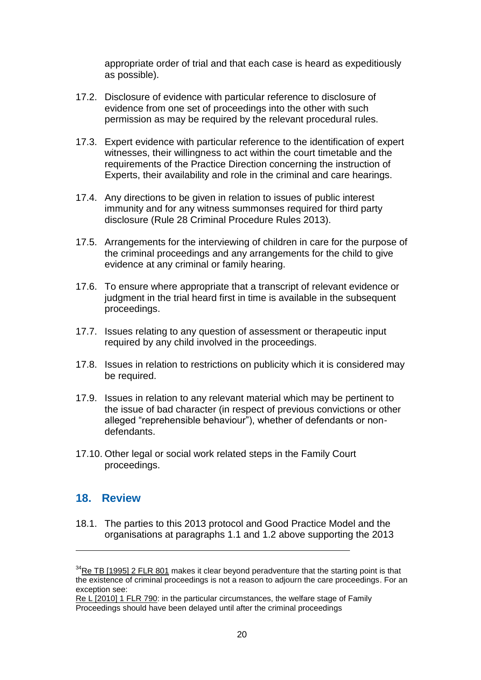appropriate order of trial and that each case is heard as expeditiously as possible).

- 17.2. Disclosure of evidence with particular reference to disclosure of evidence from one set of proceedings into the other with such permission as may be required by the relevant procedural rules.
- 17.3. Expert evidence with particular reference to the identification of expert witnesses, their willingness to act within the court timetable and the requirements of the Practice Direction concerning the instruction of Experts, their availability and role in the criminal and care hearings.
- 17.4. Any directions to be given in relation to issues of public interest immunity and for any witness summonses required for third party disclosure (Rule 28 Criminal Procedure Rules 2013).
- 17.5. Arrangements for the interviewing of children in care for the purpose of the criminal proceedings and any arrangements for the child to give evidence at any criminal or family hearing.
- 17.6. To ensure where appropriate that a transcript of relevant evidence or judgment in the trial heard first in time is available in the subsequent proceedings.
- 17.7. Issues relating to any question of assessment or therapeutic input required by any child involved in the proceedings.
- 17.8. Issues in relation to restrictions on publicity which it is considered may be required.
- 17.9. Issues in relation to any relevant material which may be pertinent to the issue of bad character (in respect of previous convictions or other alleged "reprehensible behaviour"), whether of defendants or nondefendants.
- 17.10. Other legal or social work related steps in the Family Court proceedings.

## <span id="page-20-0"></span>**18. Review**

<u>.</u>

18.1. The parties to this 2013 protocol and Good Practice Model and the organisations at paragraphs 1.1 and 1.2 above supporting the 2013

 $34$ Re TB [1995] 2 FLR 801 makes it clear beyond peradventure that the starting point is that the existence of criminal proceedings is not a reason to adjourn the care proceedings. For an exception see:

Re L [2010] 1 FLR 790: in the particular circumstances, the welfare stage of Family Proceedings should have been delayed until after the criminal proceedings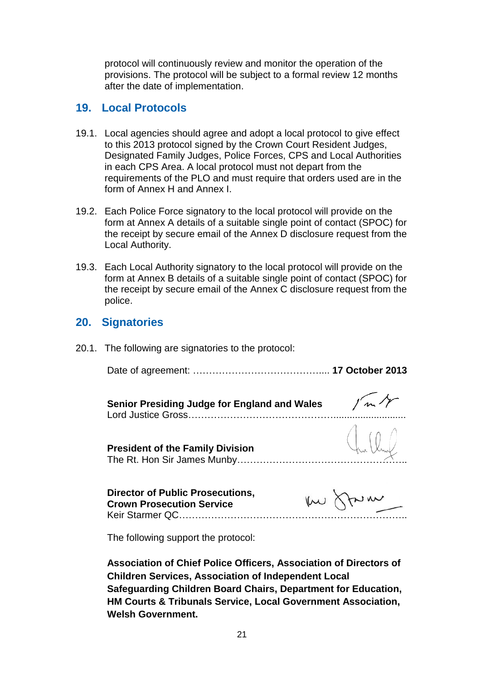protocol will continuously review and monitor the operation of the provisions. The protocol will be subject to a formal review 12 months after the date of implementation.

## <span id="page-21-0"></span>**19. Local Protocols**

- 19.1. Local agencies should agree and adopt a local protocol to give effect to this 2013 protocol signed by the Crown Court Resident Judges, Designated Family Judges, Police Forces, CPS and Local Authorities in each CPS Area. A local protocol must not depart from the requirements of the PLO and must require that orders used are in the form of Annex H and Annex I.
- 19.2. Each Police Force signatory to the local protocol will provide on the form at Annex A details of a suitable single point of contact (SPOC) for the receipt by secure email of the Annex D disclosure request from the Local Authority.
- 19.3. Each Local Authority signatory to the local protocol will provide on the form at Annex B details of a suitable single point of contact (SPOC) for the receipt by secure email of the Annex C disclosure request from the police.

# <span id="page-21-1"></span>**20. Signatories**

20.1. The following are signatories to the protocol:

Date of agreement: ………………………………….... **17 October 2013**

| <b>Senior Presiding Judge for England and Wales</b> | $\int$ m/ $\int$ |
|-----------------------------------------------------|------------------|
|                                                     |                  |

**President of the Family Division** The Rt. Hon Sir James Munby……………………………………………..

ku Strin

**Director of Public Prosecutions, Crown Prosecution Service** Keir Starmer QC……………………………………………………………..

The following support the protocol:

**Association of Chief Police Officers, Association of Directors of Children Services, Association of Independent Local Safeguarding Children Board Chairs, Department for Education, HM Courts & Tribunals Service, Local Government Association, Welsh Government.**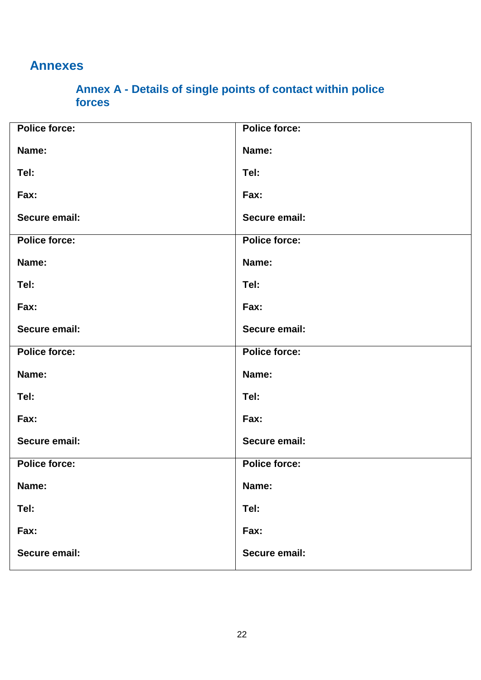# <span id="page-22-0"></span>**Annexes**

# <span id="page-22-1"></span>**Annex A - Details of single points of contact within police forces**

| <b>Police force:</b> | <b>Police force:</b> |
|----------------------|----------------------|
| Name:                | Name:                |
| Tel:                 | Tel:                 |
| Fax:                 | Fax:                 |
| Secure email:        | Secure email:        |
| <b>Police force:</b> | <b>Police force:</b> |
| Name:                | Name:                |
| Tel:                 | Tel:                 |
| Fax:                 | Fax:                 |
| Secure email:        | Secure email:        |
| <b>Police force:</b> | Police force:        |
| Name:                | Name:                |
| Tel:                 | Tel:                 |
| Fax:                 | Fax:                 |
| Secure email:        | Secure email:        |
| <b>Police force:</b> | <b>Police force:</b> |
| Name:                | Name:                |
| Tel:                 | Tel:                 |
| Fax:                 | Fax:                 |
| Secure email:        | Secure email:        |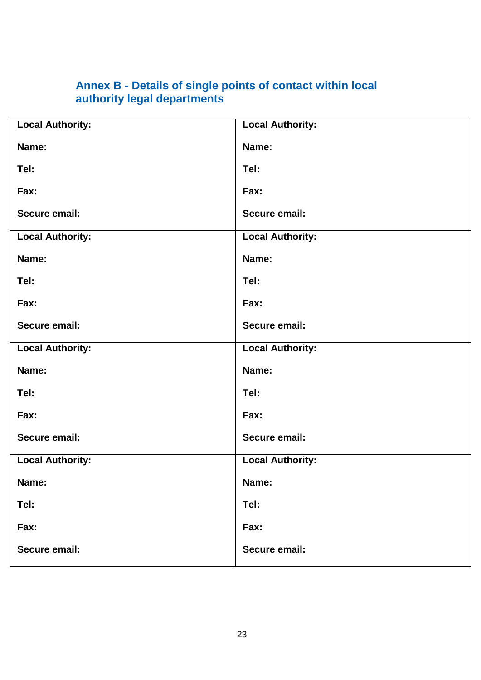| <b>Local Authority:</b> | <b>Local Authority:</b> |
|-------------------------|-------------------------|
| Name:                   | Name:                   |
| Tel:                    | Tel:                    |
| Fax:                    | Fax:                    |
| Secure email:           | Secure email:           |
| <b>Local Authority:</b> | <b>Local Authority:</b> |
| Name:                   | Name:                   |
| Tel:                    | Tel:                    |
| Fax:                    | Fax:                    |
| Secure email:           | Secure email:           |
| <b>Local Authority:</b> | <b>Local Authority:</b> |
| Name:                   | Name:                   |
| Tel:                    | Tel:                    |
| Fax:                    | Fax:                    |
| Secure email:           | Secure email:           |
| <b>Local Authority:</b> | <b>Local Authority:</b> |
| Name:                   | Name:                   |
| Tel:                    | Tel:                    |
| Fax:                    | Fax:                    |
| Secure email:           | Secure email:           |

# <span id="page-23-0"></span>**Annex B - Details of single points of contact within local authority legal departments**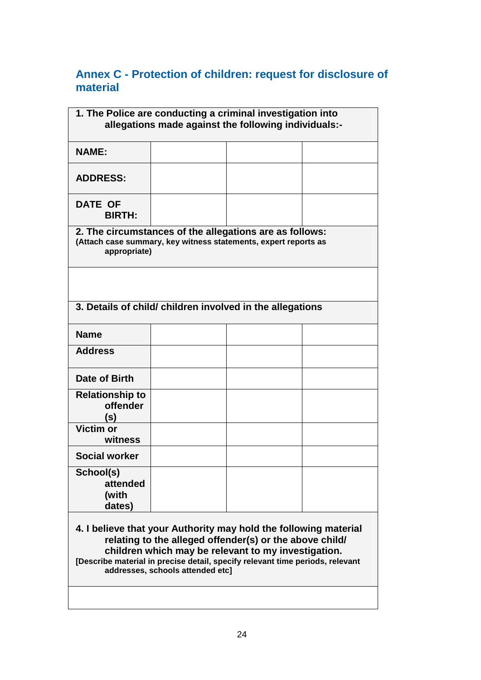# <span id="page-24-0"></span>**Annex C - Protection of children: request for disclosure of material**

| 1. The Police are conducting a criminal investigation into<br>allegations made against the following individuals:-                                                                                                                                                                                      |  |                                                                 |  |
|---------------------------------------------------------------------------------------------------------------------------------------------------------------------------------------------------------------------------------------------------------------------------------------------------------|--|-----------------------------------------------------------------|--|
| <b>NAME:</b>                                                                                                                                                                                                                                                                                            |  |                                                                 |  |
| <b>ADDRESS:</b>                                                                                                                                                                                                                                                                                         |  |                                                                 |  |
| <b>DATE OF</b><br><b>BIRTH:</b>                                                                                                                                                                                                                                                                         |  |                                                                 |  |
| 2. The circumstances of the allegations are as follows:<br>appropriate)                                                                                                                                                                                                                                 |  | (Attach case summary, key witness statements, expert reports as |  |
|                                                                                                                                                                                                                                                                                                         |  |                                                                 |  |
|                                                                                                                                                                                                                                                                                                         |  | 3. Details of child/ children involved in the allegations       |  |
| <b>Name</b>                                                                                                                                                                                                                                                                                             |  |                                                                 |  |
| <b>Address</b>                                                                                                                                                                                                                                                                                          |  |                                                                 |  |
| Date of Birth                                                                                                                                                                                                                                                                                           |  |                                                                 |  |
| <b>Relationship to</b><br>offender<br>(s)                                                                                                                                                                                                                                                               |  |                                                                 |  |
| <b>Victim or</b><br>witness                                                                                                                                                                                                                                                                             |  |                                                                 |  |
| <b>Social worker</b>                                                                                                                                                                                                                                                                                    |  |                                                                 |  |
| School(s)<br>attended<br>(with<br>dates)                                                                                                                                                                                                                                                                |  |                                                                 |  |
| 4. I believe that your Authority may hold the following material<br>relating to the alleged offender(s) or the above child/<br>children which may be relevant to my investigation.<br>[Describe material in precise detail, specify relevant time periods, relevant<br>addresses, schools attended etc] |  |                                                                 |  |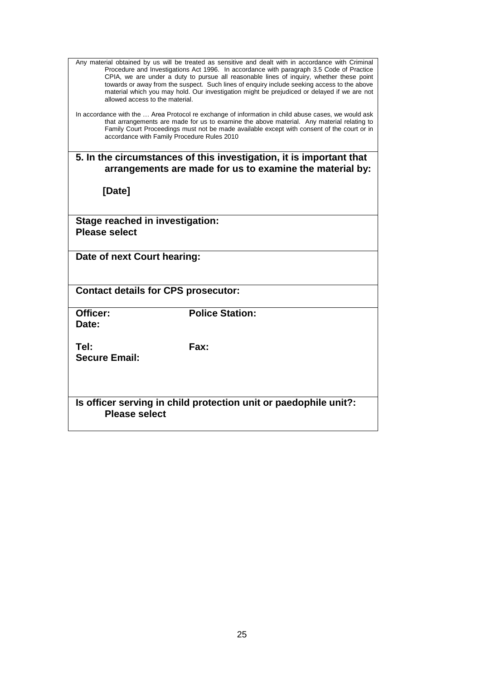| Any material obtained by us will be treated as sensitive and dealt with in accordance with Criminal<br>Procedure and Investigations Act 1996. In accordance with paragraph 3.5 Code of Practice<br>CPIA, we are under a duty to pursue all reasonable lines of inquiry, whether these point<br>towards or away from the suspect. Such lines of enquiry include seeking access to the above<br>material which you may hold. Our investigation might be prejudiced or delayed if we are not<br>allowed access to the material. |  |  |  |  |
|------------------------------------------------------------------------------------------------------------------------------------------------------------------------------------------------------------------------------------------------------------------------------------------------------------------------------------------------------------------------------------------------------------------------------------------------------------------------------------------------------------------------------|--|--|--|--|
| In accordance with the  Area Protocol re exchange of information in child abuse cases, we would ask<br>that arrangements are made for us to examine the above material. Any material relating to<br>Family Court Proceedings must not be made available except with consent of the court or in<br>accordance with Family Procedure Rules 2010                                                                                                                                                                                |  |  |  |  |
| 5. In the circumstances of this investigation, it is important that<br>arrangements are made for us to examine the material by:                                                                                                                                                                                                                                                                                                                                                                                              |  |  |  |  |
| [Date]                                                                                                                                                                                                                                                                                                                                                                                                                                                                                                                       |  |  |  |  |
| Stage reached in investigation:<br><b>Please select</b>                                                                                                                                                                                                                                                                                                                                                                                                                                                                      |  |  |  |  |
| Date of next Court hearing:                                                                                                                                                                                                                                                                                                                                                                                                                                                                                                  |  |  |  |  |
| <b>Contact details for CPS prosecutor:</b>                                                                                                                                                                                                                                                                                                                                                                                                                                                                                   |  |  |  |  |
| Officer:<br><b>Police Station:</b><br>Date:                                                                                                                                                                                                                                                                                                                                                                                                                                                                                  |  |  |  |  |
| Tel:<br>Fax:<br><b>Secure Email:</b>                                                                                                                                                                                                                                                                                                                                                                                                                                                                                         |  |  |  |  |
| Is officer serving in child protection unit or paedophile unit?:<br><b>Please select</b>                                                                                                                                                                                                                                                                                                                                                                                                                                     |  |  |  |  |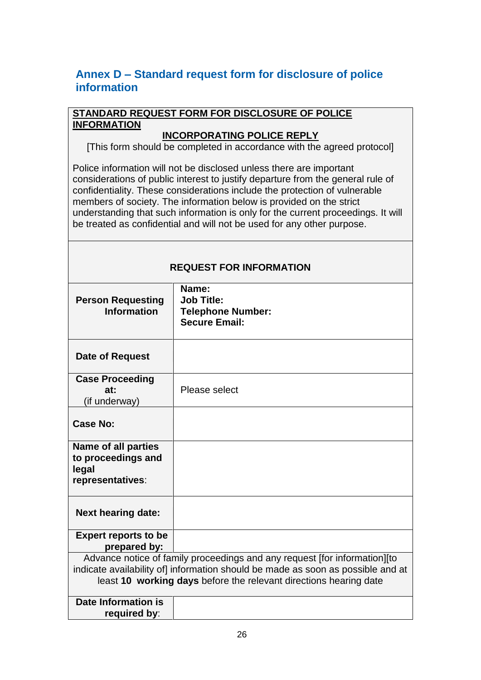# <span id="page-26-0"></span>**Annex D – Standard request form for disclosure of police information**

## **STANDARD REQUEST FORM FOR DISCLOSURE OF POLICE INFORMATION**

### **INCORPORATING POLICE REPLY**

[This form should be completed in accordance with the agreed protocol]

Police information will not be disclosed unless there are important considerations of public interest to justify departure from the general rule of confidentiality. These considerations include the protection of vulnerable members of society. The information below is provided on the strict understanding that such information is only for the current proceedings. It will be treated as confidential and will not be used for any other purpose.

| NEQUEST LUN INI UNIMATION                                              |                                                                                                                                                                                                                                   |  |
|------------------------------------------------------------------------|-----------------------------------------------------------------------------------------------------------------------------------------------------------------------------------------------------------------------------------|--|
| <b>Person Requesting</b><br><b>Information</b>                         | Name:<br><b>Job Title:</b><br><b>Telephone Number:</b><br><b>Secure Email:</b>                                                                                                                                                    |  |
| Date of Request                                                        |                                                                                                                                                                                                                                   |  |
| <b>Case Proceeding</b><br>at:<br>(if underway)                         | Please select                                                                                                                                                                                                                     |  |
| <b>Case No:</b>                                                        |                                                                                                                                                                                                                                   |  |
| Name of all parties<br>to proceedings and<br>legal<br>representatives: |                                                                                                                                                                                                                                   |  |
| <b>Next hearing date:</b>                                              |                                                                                                                                                                                                                                   |  |
| <b>Expert reports to be</b><br>prepared by:                            |                                                                                                                                                                                                                                   |  |
|                                                                        | Advance notice of family proceedings and any request [for information][to<br>indicate availability of] information should be made as soon as possible and at<br>least 10 working days before the relevant directions hearing date |  |
| Date Information is<br>required by:                                    |                                                                                                                                                                                                                                   |  |

## **REQUEST FOR INFORMATION**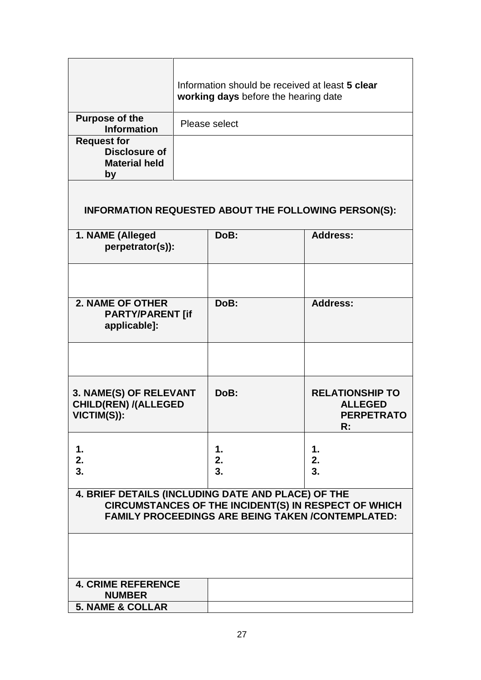|                                                                                                                                                                        | Information should be received at least 5 clear<br>working days before the hearing date |                                                             |                                                                     |
|------------------------------------------------------------------------------------------------------------------------------------------------------------------------|-----------------------------------------------------------------------------------------|-------------------------------------------------------------|---------------------------------------------------------------------|
| <b>Purpose of the</b><br><b>Information</b>                                                                                                                            | Please select                                                                           |                                                             |                                                                     |
| <b>Request for</b><br><b>Disclosure of</b><br><b>Material held</b><br>by                                                                                               |                                                                                         |                                                             |                                                                     |
|                                                                                                                                                                        |                                                                                         | <b>INFORMATION REQUESTED ABOUT THE FOLLOWING PERSON(S):</b> |                                                                     |
| 1. NAME (Alleged<br>perpetrator(s)):                                                                                                                                   |                                                                                         | DoB:                                                        | <b>Address:</b>                                                     |
|                                                                                                                                                                        |                                                                                         | DoB:                                                        | <b>Address:</b>                                                     |
| <b>2. NAME OF OTHER</b><br><b>PARTY/PARENT [if</b><br>applicable]:                                                                                                     |                                                                                         |                                                             |                                                                     |
|                                                                                                                                                                        |                                                                                         |                                                             |                                                                     |
| 3. NAME(S) OF RELEVANT<br><b>CHILD(REN) /(ALLEGED</b><br>VICTIM(S)):                                                                                                   |                                                                                         | DoB:                                                        | <b>RELATIONSHIP TO</b><br><b>ALLEGED</b><br><b>PERPETRATO</b><br>R: |
| $\mathbf 1$ .<br>2.<br>3.                                                                                                                                              |                                                                                         | 1.<br>2.<br>3.                                              | 1.<br>2.<br>3.                                                      |
| 4. BRIEF DETAILS (INCLUDING DATE AND PLACE) OF THE<br>CIRCUMSTANCES OF THE INCIDENT(S) IN RESPECT OF WHICH<br><b>FAMILY PROCEEDINGS ARE BEING TAKEN /CONTEMPLATED:</b> |                                                                                         |                                                             |                                                                     |
|                                                                                                                                                                        |                                                                                         |                                                             |                                                                     |
| <b>4. CRIME REFERENCE</b><br><b>NUMBER</b><br><b>5. NAME &amp; COLLAR</b>                                                                                              |                                                                                         |                                                             |                                                                     |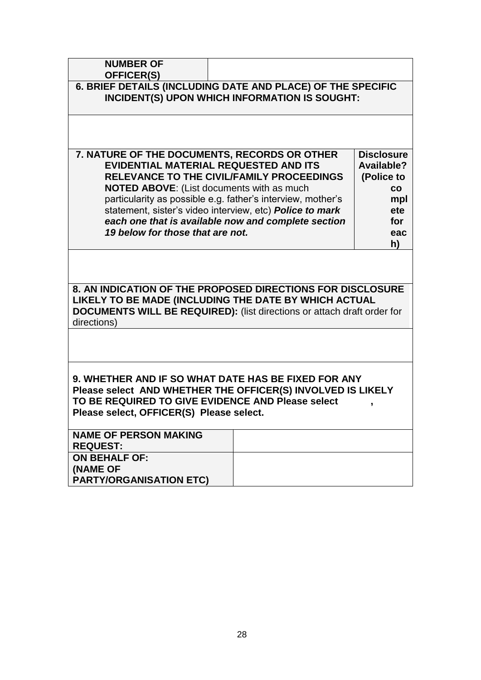| <b>NUMBER OF</b>  |
|-------------------|
| <b>OFFICER(S)</b> |

## **6. BRIEF DETAILS (INCLUDING DATE AND PLACE) OF THE SPECIFIC INCIDENT(S) UPON WHICH INFORMATION IS SOUGHT:**

| 7. NATURE OF THE DOCUMENTS, RECORDS OR OTHER<br><b>EVIDENTIAL MATERIAL REQUESTED AND ITS</b> | <b>Disclosure</b><br><b>Available?</b> |
|----------------------------------------------------------------------------------------------|----------------------------------------|
| RELEVANCE TO THE CIVIL/FAMILY PROCEEDINGS                                                    | (Police to                             |
| <b>NOTED ABOVE:</b> (List documents with as much                                             | <b>CO</b>                              |
| particularity as possible e.g. father's interview, mother's                                  | mpl                                    |
| statement, sister's video interview, etc) Police to mark                                     | ete                                    |
| each one that is available now and complete section                                          | for                                    |
| 19 below for those that are not.                                                             | eac                                    |
|                                                                                              | h)                                     |

**8. AN INDICATION OF THE PROPOSED DIRECTIONS FOR DISCLOSURE LIKELY TO BE MADE (INCLUDING THE DATE BY WHICH ACTUAL DOCUMENTS WILL BE REQUIRED):** (list directions or attach draft order for directions)

**9. WHETHER AND IF SO WHAT DATE HAS BE FIXED FOR ANY Please select AND WHETHER THE OFFICER(S) INVOLVED IS LIKELY TO BE REQUIRED TO GIVE EVIDENCE AND Please select , Please select, OFFICER(S) Please select.**

| <b>NAME OF PERSON MAKING</b><br>∣ REQUEST: I |  |
|----------------------------------------------|--|
| <b>ON BEHALF OF:</b>                         |  |
| (NAME OF                                     |  |
| <b>PARTY/ORGANISATION ETC)</b>               |  |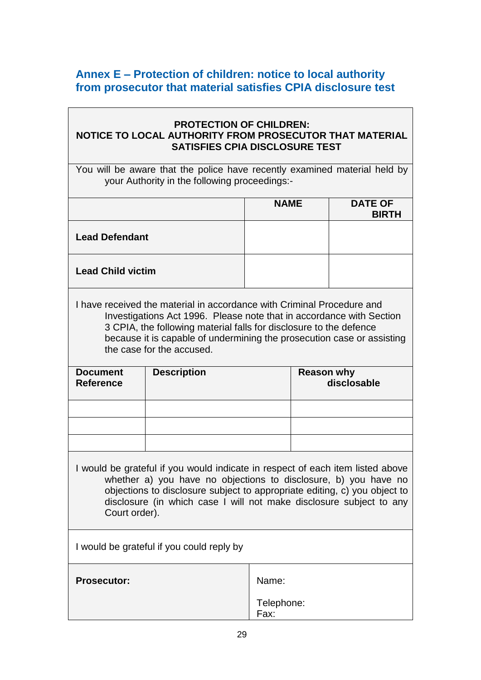# <span id="page-29-0"></span>**Annex E – Protection of children: notice to local authority from prosecutor that material satisfies CPIA disclosure test**

## **PROTECTION OF CHILDREN: NOTICE TO LOCAL AUTHORITY FROM PROSECUTOR THAT MATERIAL SATISFIES CPIA DISCLOSURE TEST**

You will be aware that the police have recently examined material held by your Authority in the following proceedings:-

|                          | <b>NAME</b> | <b>DATE OF</b><br><b>BIRTH</b> |
|--------------------------|-------------|--------------------------------|
| <b>Lead Defendant</b>    |             |                                |
| <b>Lead Child victim</b> |             |                                |

I have received the material in accordance with Criminal Procedure and Investigations Act 1996. Please note that in accordance with Section 3 CPIA, the following material falls for disclosure to the defence because it is capable of undermining the prosecution case or assisting the case for the accused.

| <b>Document</b><br><b>Reference</b> | <b>Description</b> | <b>Reason why</b><br>disclosable |
|-------------------------------------|--------------------|----------------------------------|
|                                     |                    |                                  |
|                                     |                    |                                  |
|                                     |                    |                                  |

I would be grateful if you would indicate in respect of each item listed above whether a) you have no objections to disclosure, b) you have no objections to disclosure subject to appropriate editing, c) you object to disclosure (in which case I will not make disclosure subject to any Court order).

I would be grateful if you could reply by

| . .<br>__          |                    |
|--------------------|--------------------|
| <b>Prosecutor:</b> | Name:              |
|                    | Telephone:<br>Fax: |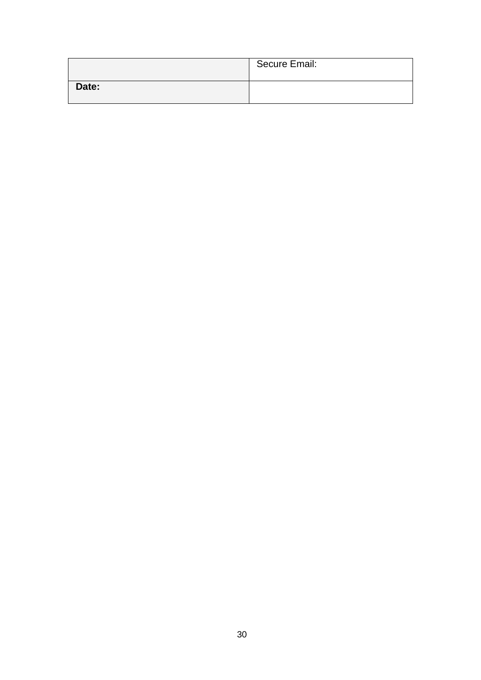|       | Secure Email: |
|-------|---------------|
| Date: |               |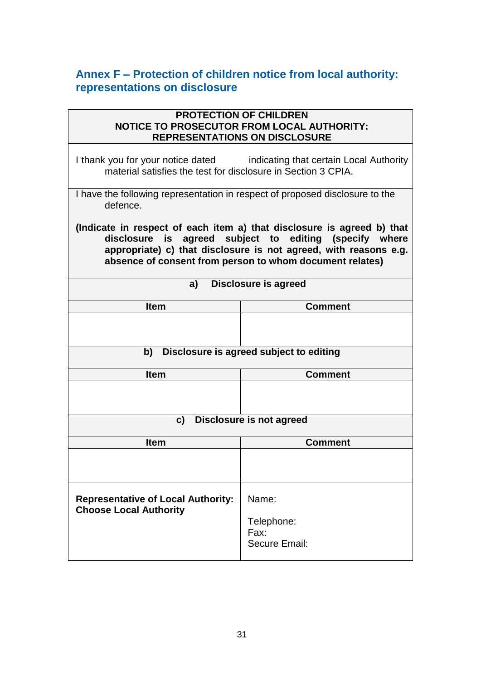# <span id="page-31-0"></span>**Annex F – Protection of children notice from local authority: representations on disclosure**

| <b>PROTECTION OF CHILDREN</b><br><b>NOTICE TO PROSECUTOR FROM LOCAL AUTHORITY:</b><br><b>REPRESENTATIONS ON DISCLOSURE</b>                                                                                                                                          |                                              |  |  |
|---------------------------------------------------------------------------------------------------------------------------------------------------------------------------------------------------------------------------------------------------------------------|----------------------------------------------|--|--|
| I thank you for your notice dated indicating that certain Local Authority<br>material satisfies the test for disclosure in Section 3 CPIA.                                                                                                                          |                                              |  |  |
| I have the following representation in respect of proposed disclosure to the<br>defence.                                                                                                                                                                            |                                              |  |  |
| (Indicate in respect of each item a) that disclosure is agreed b) that<br>is agreed subject to editing (specify where<br>disclosure<br>appropriate) c) that disclosure is not agreed, with reasons e.g.<br>absence of consent from person to whom document relates) |                                              |  |  |
| Disclosure is agreed<br>a)                                                                                                                                                                                                                                          |                                              |  |  |
| <b>Item</b>                                                                                                                                                                                                                                                         | <b>Comment</b>                               |  |  |
|                                                                                                                                                                                                                                                                     |                                              |  |  |
| b)                                                                                                                                                                                                                                                                  | Disclosure is agreed subject to editing      |  |  |
| <b>Item</b>                                                                                                                                                                                                                                                         | <b>Comment</b>                               |  |  |
|                                                                                                                                                                                                                                                                     |                                              |  |  |
| <b>Disclosure is not agreed</b><br>c)                                                                                                                                                                                                                               |                                              |  |  |
| <b>Item</b>                                                                                                                                                                                                                                                         | <b>Comment</b>                               |  |  |
|                                                                                                                                                                                                                                                                     |                                              |  |  |
| <b>Representative of Local Authority:</b><br><b>Choose Local Authority</b>                                                                                                                                                                                          | Name:<br>Telephone:<br>Fax:<br>Secure Email: |  |  |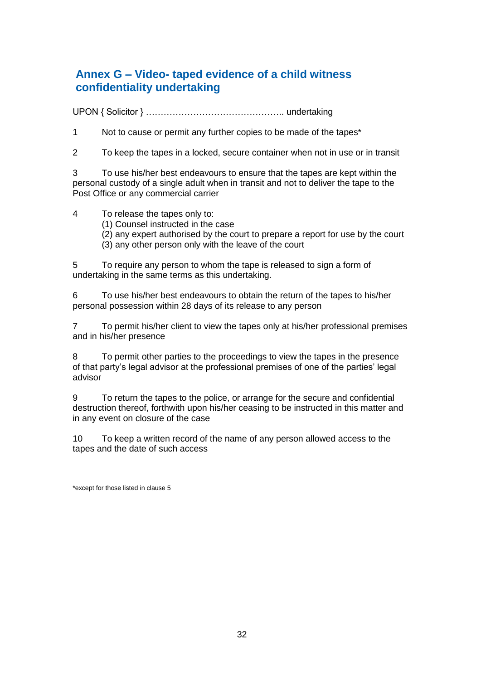# <span id="page-32-0"></span>**Annex G – Video- taped evidence of a child witness confidentiality undertaking**

UPON { Solicitor } ……………………………………….. undertaking

1 Not to cause or permit any further copies to be made of the tapes\*

2 To keep the tapes in a locked, secure container when not in use or in transit

3 To use his/her best endeavours to ensure that the tapes are kept within the personal custody of a single adult when in transit and not to deliver the tape to the Post Office or any commercial carrier

4 To release the tapes only to:

- (1) Counsel instructed in the case
- (2) any expert authorised by the court to prepare a report for use by the court
- (3) any other person only with the leave of the court

5 To require any person to whom the tape is released to sign a form of undertaking in the same terms as this undertaking.

6 To use his/her best endeavours to obtain the return of the tapes to his/her personal possession within 28 days of its release to any person

7 To permit his/her client to view the tapes only at his/her professional premises and in his/her presence

8 To permit other parties to the proceedings to view the tapes in the presence of that party's legal advisor at the professional premises of one of the parties' legal advisor

9 To return the tapes to the police, or arrange for the secure and confidential destruction thereof, forthwith upon his/her ceasing to be instructed in this matter and in any event on closure of the case

10 To keep a written record of the name of any person allowed access to the tapes and the date of such access

\*except for those listed in clause 5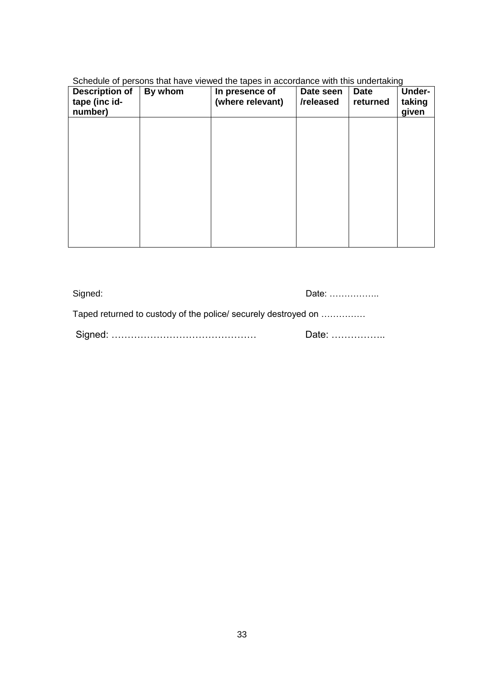#### Schedule of persons that have viewed the tapes in accordance with this undertaking

| <b>Description of</b><br>tape (inc id-<br>number) | By whom | In presence of<br>(where relevant) | Date seen<br>/released | <b>Date</b><br>returned | <b>Under-</b><br>taking<br>given |
|---------------------------------------------------|---------|------------------------------------|------------------------|-------------------------|----------------------------------|
|                                                   |         |                                    |                        |                         |                                  |
|                                                   |         |                                    |                        |                         |                                  |
|                                                   |         |                                    |                        |                         |                                  |
|                                                   |         |                                    |                        |                         |                                  |

| Signed:                                                        | Date: |
|----------------------------------------------------------------|-------|
| Taped returned to custody of the police/ securely destroyed on |       |
|                                                                | Date: |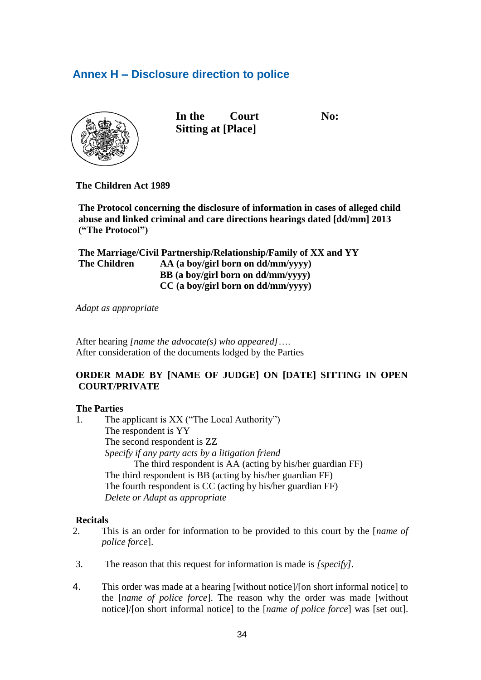## <span id="page-34-0"></span>**Annex H – Disclosure direction to police**



**In the Court No: Sitting at [Place]** 

**The Children Act 1989** 

**The Protocol concerning the disclosure of information in cases of alleged child abuse and linked criminal and care directions hearings dated [dd/mm] 2013 ("The Protocol")**

**The Marriage/Civil Partnership/Relationship/Family of XX and YY The Children AA (a boy/girl born on dd/mm/yyyy) BB (a boy/girl born on dd/mm/yyyy) CC (a boy/girl born on dd/mm/yyyy)** 

*Adapt as appropriate*

After hearing *[name the advocate(s) who appeared]*…. After consideration of the documents lodged by the Parties

#### **ORDER MADE BY [NAME OF JUDGE] ON [DATE] SITTING IN OPEN COURT/PRIVATE**

#### **The Parties**

1. The applicant is XX ("The Local Authority") The respondent is YY The second respondent is ZZ *Specify if any party acts by a litigation friend* The third respondent is AA (acting by his/her guardian FF) The third respondent is BB (acting by his/her guardian FF) The fourth respondent is CC (acting by his/her guardian FF) *Delete or Adapt as appropriate*

#### **Recitals**

- 2. This is an order for information to be provided to this court by the [*name of police force*].
- 3. The reason that this request for information is made is *[specify].*
- 4. This order was made at a hearing [without notice]/[on short informal notice] to the [*name of police force*]. The reason why the order was made [without notice]/[on short informal notice] to the [*name of police force*] was [set out].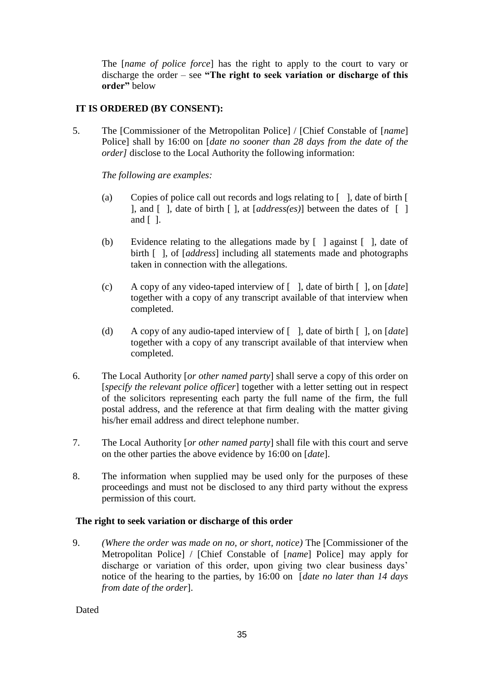The [*name of police force*] has the right to apply to the court to vary or discharge the order – see **"The right to seek variation or discharge of this order"** below

## **IT IS ORDERED (BY CONSENT):**

5. The [Commissioner of the Metropolitan Police] / [Chief Constable of [*name*] Police] shall by 16:00 on [*date no sooner than 28 days from the date of the order]* disclose to the Local Authority the following information:

*The following are examples:*

- (a) Copies of police call out records and logs relating to [ ], date of birth [ ], and [ ], date of birth [ ], at [*address(es)*] between the dates of [ ] and  $\lceil \cdot \rceil$ .
- (b) Evidence relating to the allegations made by [ ] against [ ], date of birth [ ], of [*address*] including all statements made and photographs taken in connection with the allegations.
- (c) A copy of any video-taped interview of [ ], date of birth [ ], on [*date*] together with a copy of any transcript available of that interview when completed.
- (d) A copy of any audio-taped interview of [ ], date of birth [ ], on [*date*] together with a copy of any transcript available of that interview when completed.
- 6. The Local Authority [*or other named party*] shall serve a copy of this order on [*specify the relevant police officer*] together with a letter setting out in respect of the solicitors representing each party the full name of the firm, the full postal address, and the reference at that firm dealing with the matter giving his/her email address and direct telephone number.
- 7. The Local Authority [*or other named party*] shall file with this court and serve on the other parties the above evidence by 16:00 on [*date*].
- 8. The information when supplied may be used only for the purposes of these proceedings and must not be disclosed to any third party without the express permission of this court.

#### **The right to seek variation or discharge of this order**

9. *(Where the order was made on no, or short, notice)* The [Commissioner of the Metropolitan Police] / [Chief Constable of [*name*] Police] may apply for discharge or variation of this order, upon giving two clear business days' notice of the hearing to the parties, by 16:00 on [*date no later than 14 days from date of the order*].

Dated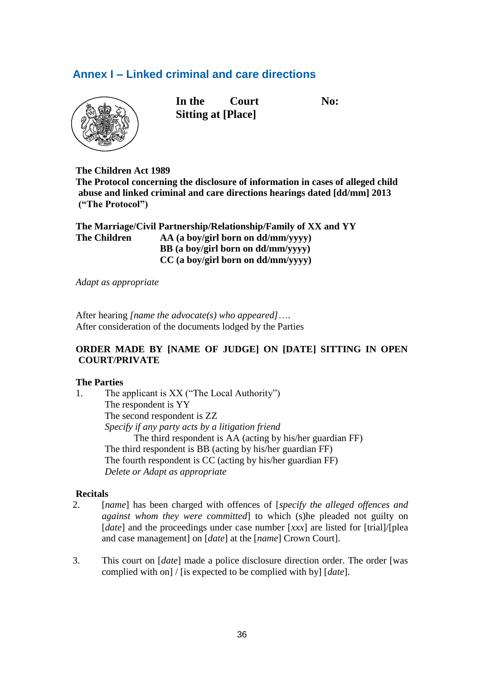## <span id="page-36-0"></span>**Annex I – Linked criminal and care directions**



**In the Court No: Sitting at [Place]** 

**The Children Act 1989** 

**The Protocol concerning the disclosure of information in cases of alleged child abuse and linked criminal and care directions hearings dated [dd/mm] 2013 ("The Protocol")**

**The Marriage/Civil Partnership/Relationship/Family of XX and YY The Children AA (a boy/girl born on dd/mm/yyyy) BB (a boy/girl born on dd/mm/yyyy)** 

**CC (a boy/girl born on dd/mm/yyyy)** 

*Adapt as appropriate*

After hearing *[name the advocate(s) who appeared]*…. After consideration of the documents lodged by the Parties

## **ORDER MADE BY [NAME OF JUDGE] ON [DATE] SITTING IN OPEN COURT/PRIVATE**

## **The Parties**

1. The applicant is XX ("The Local Authority") The respondent is YY The second respondent is ZZ *Specify if any party acts by a litigation friend* The third respondent is AA (acting by his/her guardian FF) The third respondent is BB (acting by his/her guardian FF) The fourth respondent is CC (acting by his/her guardian FF) *Delete or Adapt as appropriate*

## **Recitals**

- 2. [*name*] has been charged with offences of [*specify the alleged offences and against whom they were committed*] to which (s)he pleaded not guilty on [*date*] and the proceedings under case number [*xxx*] are listed for [trial]/[plea and case management] on [*date*] at the [*name*] Crown Court].
- 3. This court on [*date*] made a police disclosure direction order. The order [was complied with on] / [is expected to be complied with by] [*date*].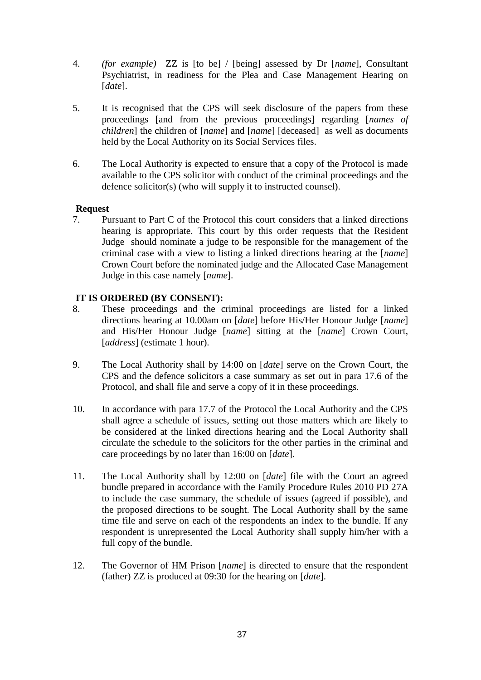- 4. *(for example)* ZZ is [to be] / [being] assessed by Dr [*name*], Consultant Psychiatrist, in readiness for the Plea and Case Management Hearing on [*date*].
- 5. It is recognised that the CPS will seek disclosure of the papers from these proceedings [and from the previous proceedings] regarding [*names of children*] the children of [*name*] and [*name*] [deceased] as well as documents held by the Local Authority on its Social Services files.
- 6. The Local Authority is expected to ensure that a copy of the Protocol is made available to the CPS solicitor with conduct of the criminal proceedings and the defence solicitor(s) (who will supply it to instructed counsel).

#### **Request**

7. Pursuant to Part C of the Protocol this court considers that a linked directions hearing is appropriate. This court by this order requests that the Resident Judge should nominate a judge to be responsible for the management of the criminal case with a view to listing a linked directions hearing at the [*name*] Crown Court before the nominated judge and the Allocated Case Management Judge in this case namely [*name*].

#### **IT IS ORDERED (BY CONSENT):**

- 8. These proceedings and the criminal proceedings are listed for a linked directions hearing at 10.00am on [*date*] before His/Her Honour Judge [*name*] and His/Her Honour Judge [*name*] sitting at the [*name*] Crown Court, [*address*] (estimate 1 hour).
- 9. The Local Authority shall by 14:00 on [*date*] serve on the Crown Court, the CPS and the defence solicitors a case summary as set out in para 17.6 of the Protocol, and shall file and serve a copy of it in these proceedings.
- 10. In accordance with para 17.7 of the Protocol the Local Authority and the CPS shall agree a schedule of issues, setting out those matters which are likely to be considered at the linked directions hearing and the Local Authority shall circulate the schedule to the solicitors for the other parties in the criminal and care proceedings by no later than 16:00 on [*date*].
- 11. The Local Authority shall by 12:00 on [*date*] file with the Court an agreed bundle prepared in accordance with the Family Procedure Rules 2010 PD 27A to include the case summary, the schedule of issues (agreed if possible), and the proposed directions to be sought. The Local Authority shall by the same time file and serve on each of the respondents an index to the bundle. If any respondent is unrepresented the Local Authority shall supply him/her with a full copy of the bundle.
- 12. The Governor of HM Prison [*name*] is directed to ensure that the respondent (father) ZZ is produced at 09:30 for the hearing on [*date*].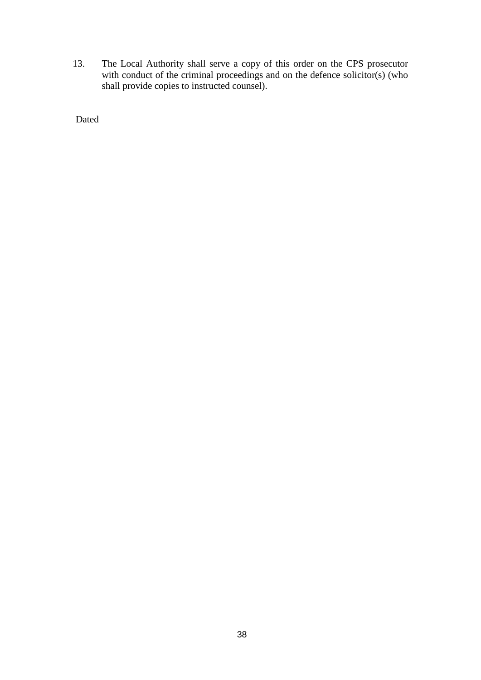13. The Local Authority shall serve a copy of this order on the CPS prosecutor with conduct of the criminal proceedings and on the defence solicitor(s) (who shall provide copies to instructed counsel).

Dated